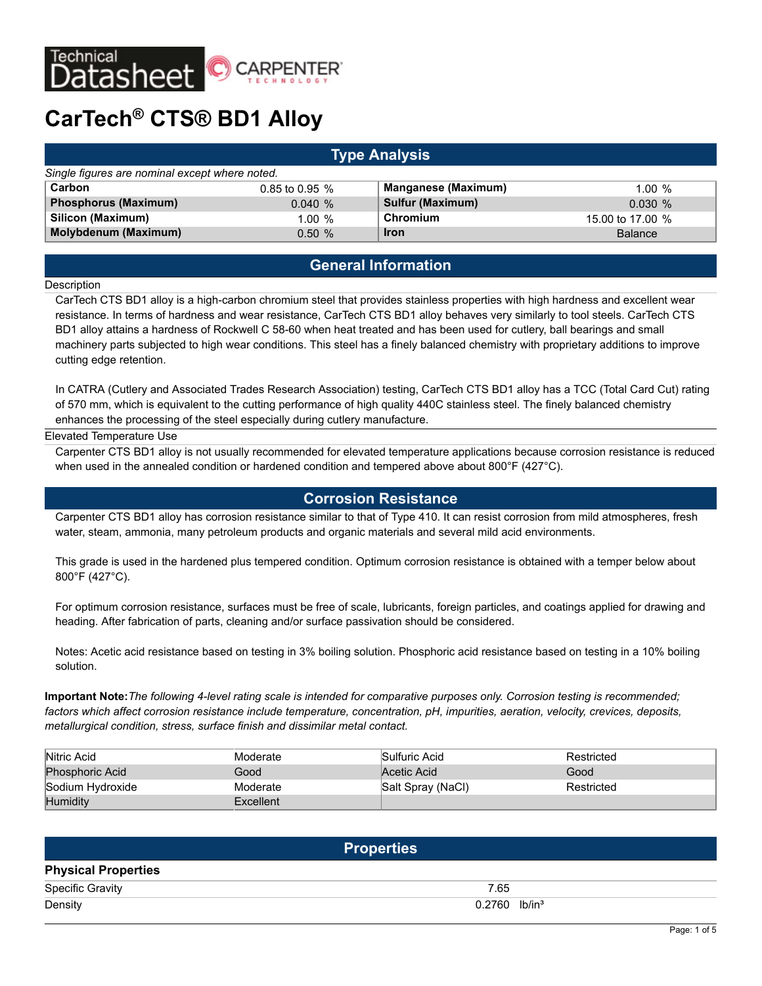

# **CarTech® CTS® BD1 Alloy**

| <b>Type Analysis</b>                           |                    |                            |                  |  |  |  |  |  |  |  |
|------------------------------------------------|--------------------|----------------------------|------------------|--|--|--|--|--|--|--|
| Single figures are nominal except where noted. |                    |                            |                  |  |  |  |  |  |  |  |
| Carbon                                         | $0.85$ to $0.95$ % | <b>Manganese (Maximum)</b> | 1.00%            |  |  |  |  |  |  |  |
| <b>Phosphorus (Maximum)</b>                    | 0.040%             | <b>Sulfur (Maximum)</b>    | 0.030%           |  |  |  |  |  |  |  |
| Silicon (Maximum)                              | 1.00%              | Chromium                   | 15.00 to 17.00 % |  |  |  |  |  |  |  |
| <b>Molybdenum (Maximum)</b>                    | 0.50%              | <b>Iron</b>                | <b>Balance</b>   |  |  |  |  |  |  |  |

# **General Information**

#### **Description**

CarTech CTS BD1 alloy is a high-carbon chromium steel that provides stainless properties with high hardness and excellent wear resistance. In terms of hardness and wear resistance, CarTech CTS BD1 alloy behaves very similarly to tool steels. CarTech CTS BD1 alloy attains a hardness of Rockwell C 58-60 when heat treated and has been used for cutlery, ball bearings and small machinery parts subjected to high wear conditions. This steel has a finely balanced chemistry with proprietary additions to improve cutting edge retention.

In CATRA (Cutlery and Associated Trades Research Association) testing, CarTech CTS BD1 alloy has a TCC (Total Card Cut) rating of 570 mm, which is equivalent to the cutting performance of high quality 440C stainless steel. The finely balanced chemistry enhances the processing of the steel especially during cutlery manufacture.

#### Elevated Temperature Use

Carpenter CTS BD1 alloy is not usually recommended for elevated temperature applications because corrosion resistance is reduced when used in the annealed condition or hardened condition and tempered above about 800°F (427°C).

## **Corrosion Resistance**

Carpenter CTS BD1 alloy has corrosion resistance similar to that of Type 410. It can resist corrosion from mild atmospheres, fresh water, steam, ammonia, many petroleum products and organic materials and several mild acid environments.

This grade is used in the hardened plus tempered condition. Optimum corrosion resistance is obtained with a temper below about 800°F (427°C).

For optimum corrosion resistance, surfaces must be free of scale, lubricants, foreign particles, and coatings applied for drawing and heading. After fabrication of parts, cleaning and/or surface passivation should be considered.

Notes: Acetic acid resistance based on testing in 3% boiling solution. Phosphoric acid resistance based on testing in a 10% boiling solution.

**Important Note:***The following 4-level rating scale is intended for comparative purposes only. Corrosion testing is recommended; factors which affect corrosion resistance include temperature, concentration, pH, impurities, aeration, velocity, crevices, deposits, metallurgical condition, stress, surface finish and dissimilar metal contact.*

| Nitric Acid            | Moderate  | Sulfuric Acid     | Restricted |
|------------------------|-----------|-------------------|------------|
| <b>Phosphoric Acid</b> | Good      | Acetic Acid       | Good       |
| Sodium Hydroxide       | Moderate  | Salt Spray (NaCl) | Restricted |
| <b>Humidity</b>        | Excellent |                   |            |

|                            | <b>Properties</b>           |  |
|----------------------------|-----------------------------|--|
| <b>Physical Properties</b> |                             |  |
| Specific Gravity           | 7.65                        |  |
| Density                    | $0.2760$ lb/in <sup>3</sup> |  |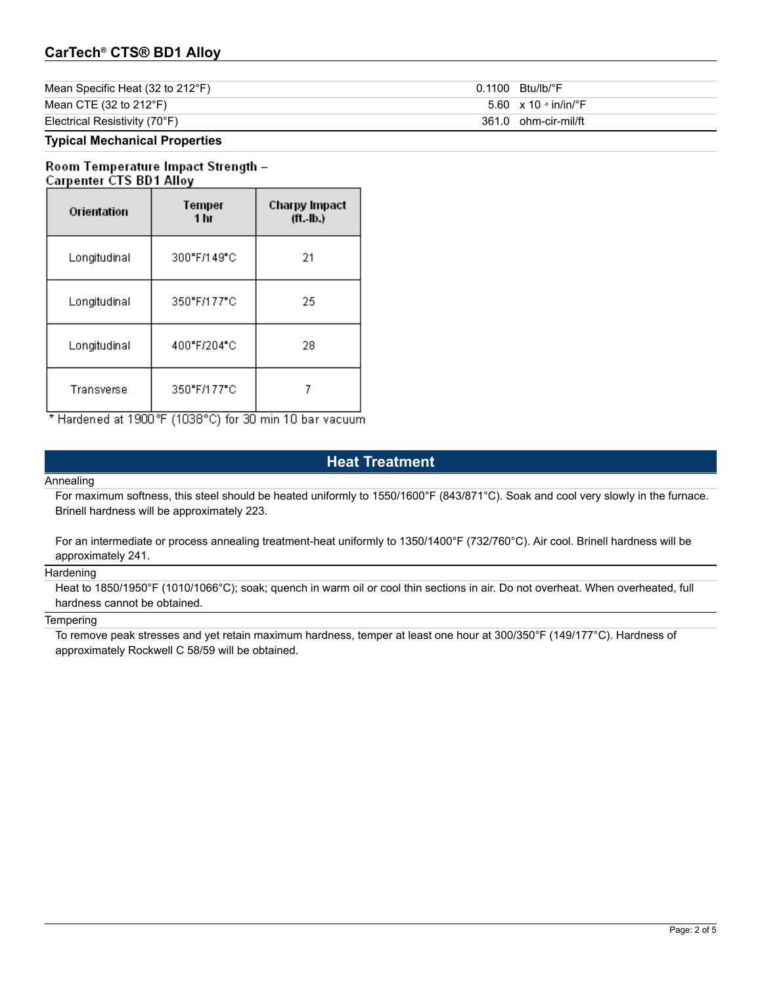# **CarTech® CTS® BD1 Alloy**

| Mean Specific Heat (32 to 212 $^{\circ}$ F) | $0.1100$ Btu/lb/°F                        |
|---------------------------------------------|-------------------------------------------|
| Mean CTE (32 to 212 $\degree$ F)            | 5.60 $\times$ 10 $\cdot$ in/in/ $\cdot$ F |
| Electrical Resistivity (70°F)               | 361.0 ohm-cir-mil/ft                      |

## **Typical Mechanical Properties**

## Room Temperature Impact Strength -**Carpenter CTS BD1 Alloy**

| Orientation  | Temper<br>1 hr | <b>Charpy Impact</b><br>$(ft.-lb.)$ |
|--------------|----------------|-------------------------------------|
| Longitudinal | 300°F/149°C    | 21                                  |
| Longitudinal | 350°F/177°C    | 25                                  |
| Longitudinal | 400°F/204°C    | 28                                  |
| Transverse   | 350°F/177°C    |                                     |

\* Hardened at 1900 °F (1038°C) for 30 min 10 bar vacuum

# **Heat Treatment**

#### Annealing

For maximum softness, this steel should be heated uniformly to 1550/1600°F (843/871°C). Soak and cool very slowly in the furnace. Brinell hardness will be approximately 223.

For an intermediate or process annealing treatment-heat uniformly to 1350/1400°F (732/760°C). Air cool. Brinell hardness will be approximately 241.

## **Hardening**

Heat to 1850/1950°F (1010/1066°C); soak; quench in warm oil or cool thin sections in air. Do not overheat. When overheated, full hardness cannot be obtained.

## **Tempering**

To remove peak stresses and yet retain maximum hardness, temper at least one hour at 300/350°F (149/177°C). Hardness of approximately Rockwell C 58/59 will be obtained.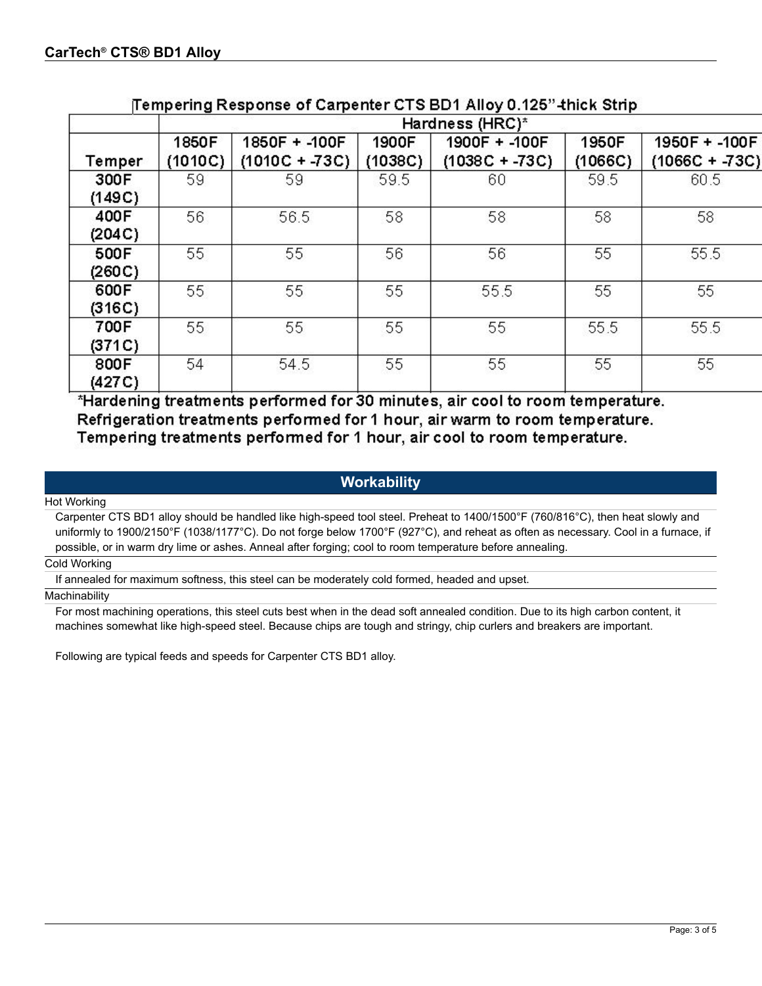|                |         |                 |         | $\mu$ ving a response of surprinting and surprinting vings. Then we have |         |                 |
|----------------|---------|-----------------|---------|--------------------------------------------------------------------------|---------|-----------------|
|                |         |                 |         | Hardness (HRC)*                                                          |         |                 |
|                | 1850F   | 1850F + -100F   | 1900F   | 1900F + -100F                                                            | 1950F   | 1950F + -100F   |
| Temper         | (1010C) | $(1010C + 73C)$ | (1038C) | $(1038C + -73C)$                                                         | (1066C) | $(1066C + 73C)$ |
| 300F           | 59      | 59              | 59.5    | 60                                                                       | 59.5    | 60.5            |
| (149C)         |         |                 |         |                                                                          |         |                 |
| 400F           | 56      | 56.5            | 58      | 58                                                                       | 58      | 58              |
| (204C)         |         |                 |         |                                                                          |         |                 |
| 500F           | 55      | 55              | 56      | 56                                                                       | 55      | 55.5            |
| (260C)         |         |                 |         |                                                                          |         |                 |
| 600F           | 55      | 55              | 55      | 55.5                                                                     | 55      | 55              |
| (316C)         |         |                 |         |                                                                          |         |                 |
| 700F           | 55      | 55              | 55      | 55                                                                       | 55.5    | 55.5            |
| (371C)         |         |                 |         |                                                                          |         |                 |
| 800F<br>(427C) | 54      | 54.5            | 55      | 55                                                                       | 55      | 55              |

**Tempering Response of Camenter CTS BD1 Alloy 0.125" thick Strip** 

\*Hardening treatments performed for 30 minutes, air cool to room temperature. Refrigeration treatments performed for 1 hour, air warm to room temperature. Tempering treatments performed for 1 hour, air cool to room temperature.

# **Workability**

Hot Working

Carpenter CTS BD1 alloy should be handled like high-speed tool steel. Preheat to 1400/1500°F (760/816°C), then heat slowly and uniformly to 1900/2150°F (1038/1177°C). Do not forge below 1700°F (927°C), and reheat as often as necessary. Cool in a furnace, if possible, or in warm dry lime or ashes. Anneal after forging; cool to room temperature before annealing.

Cold Working

If annealed for maximum softness, this steel can be moderately cold formed, headed and upset.

**Machinability** 

For most machining operations, this steel cuts best when in the dead soft annealed condition. Due to its high carbon content, it machines somewhat like high-speed steel. Because chips are tough and stringy, chip curlers and breakers are important.

Following are typical feeds and speeds for Carpenter CTS BD1 alloy.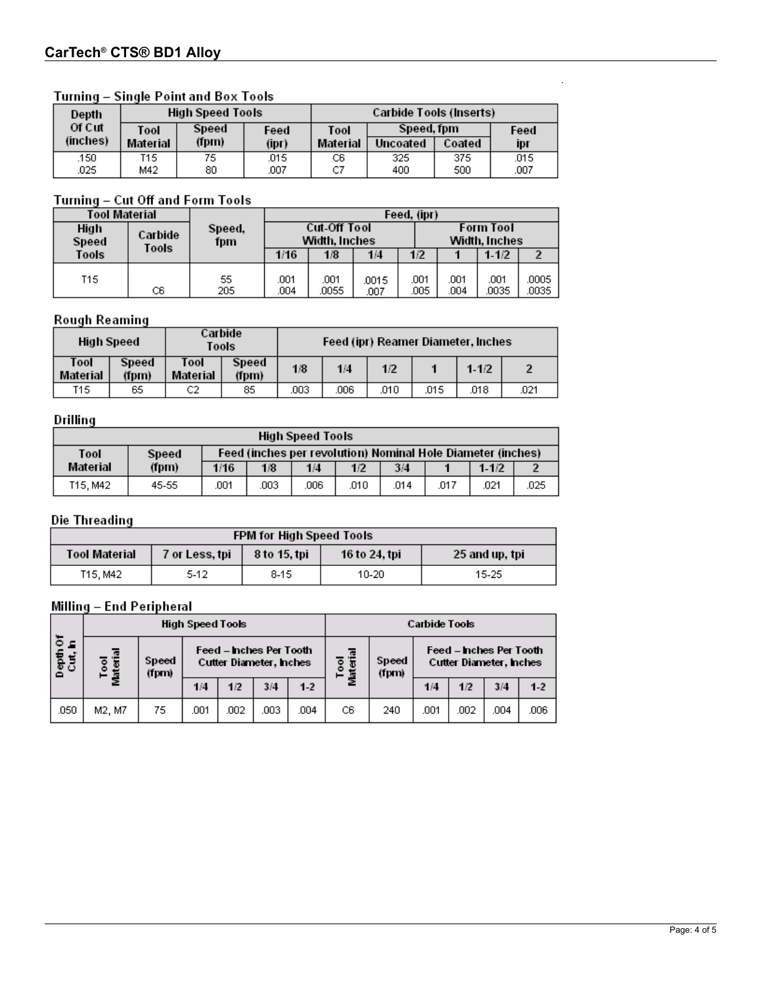| $\cdots$ |          | <b>SHRIG</b> FORRUN DOA TOOR |       |                         |            |        |      |
|----------|----------|------------------------------|-------|-------------------------|------------|--------|------|
| Depth    |          | <b>High Speed Tools</b>      |       | Carbide Tools (Inserts) |            |        |      |
| Of Cut   | Tool     | Speed                        | Feed  | Tool                    | Speed, fpm |        | Feed |
| (inches) | Material | (fpm)                        | (ipr) | Material                | Uncoated   | Coated | ірг  |
| .150     | T15      | 75                           | .015  | C6                      | 325        | 375    | .015 |
| .025     | M42      | 80                           | .007  | C7                      | 400        | 500    | .007 |

 $\ddot{\phantom{a}}$ 

# Turning - Single Point and Box Tools

# Turning - Cut Off and Form Tools

| <b>Tool Material</b> |                  |               | Feed, (ipr)  |               |                                                                    |              |             |               |                |  |  |
|----------------------|------------------|---------------|--------------|---------------|--------------------------------------------------------------------|--------------|-------------|---------------|----------------|--|--|
| High<br><b>Speed</b> | Carbide<br>Tools | Speed,<br>fpm |              |               | <b>Cut-Off Tool</b><br>Form Tool<br>Width. Inches<br>Width. Inches |              |             |               |                |  |  |
| Tools                |                  |               | 1/16         | 1/8           | 1/4                                                                | 1/2          |             | $1-1/2$       |                |  |  |
| T15.                 | C6               | 55<br>205     | .001<br>.004 | .001<br>.0055 | .0015<br>.007                                                      | .001<br>.005 | 001<br>.004 | .001<br>.0035 | .0005<br>.0035 |  |  |

## **Rough Reaming**

| High Speed       |                | Carbide<br>Tools |                       |     |      | Feed (ipr) Reamer Diameter, Inches |      |           |      |
|------------------|----------------|------------------|-----------------------|-----|------|------------------------------------|------|-----------|------|
| Tool<br>Material | Speed<br>(fpm) | Tool<br>Material | <b>Speed</b><br>(fpm) | 1/8 | 1/4  | 1/2                                |      | $1 - 1/2$ |      |
| T15              | 65             | C2               | 85                    | 003 | .006 | .010                               | .015 | .018      | .021 |

# Drilling

| <b>High Speed Tools</b>                                                             |       |      |      |      |      |      |      |         |      |
|-------------------------------------------------------------------------------------|-------|------|------|------|------|------|------|---------|------|
| Feed (inches per revolution) Nominal Hole Diameter (inches)<br>Tool<br><b>Speed</b> |       |      |      |      |      |      |      |         |      |
| Material                                                                            | (fpm) | 1/16 | 1/8  | 1/4  | 1/2  | 3/4  |      | $1-1/2$ |      |
| T15, M42                                                                            | 45-55 | .001 | .003 | .006 | .010 | .014 | .017 | .021    | .025 |

# **Die Threading**

| <b>FPM for High Speed Tools</b> |                |              |               |                |  |  |  |  |  |
|---------------------------------|----------------|--------------|---------------|----------------|--|--|--|--|--|
| Tool Material                   | 7 or Less, tpi | 8 to 15, tpi | 16 to 24, tpi | 25 and up, tpi |  |  |  |  |  |
| T15, M42                        | 5-12           | 8-15         | 10-20         | 15-25          |  |  |  |  |  |

## Milling - End Peripheral

|                     | High Speed Tools |                |      |                                                           |      | <b>Carbide Tools</b> |                               |                |                            |                                                           |      |       |
|---------------------|------------------|----------------|------|-----------------------------------------------------------|------|----------------------|-------------------------------|----------------|----------------------------|-----------------------------------------------------------|------|-------|
| Depth Of<br>Cut, In | ढ                | Speed<br>(fpm) |      | Feed – Inches Per Tooth<br><b>Cutter Diameter, Inches</b> |      |                      | $\overline{\phantom{a}}$<br>西 | Speed<br>(fpm) | 1/4<br>1/2<br>.002<br>.001 | Feed – Inches Per Tooth<br><b>Cutter Diameter, Inches</b> |      |       |
|                     |                  |                | 1/4  | 1/2                                                       | 3/4  | $1-2$                |                               |                |                            |                                                           | 3/4  | $1-2$ |
| .050                | M2, M7           | 75             | .001 | .002                                                      | .003 | .004                 | C6                            | 240            |                            |                                                           | .004 | .006  |